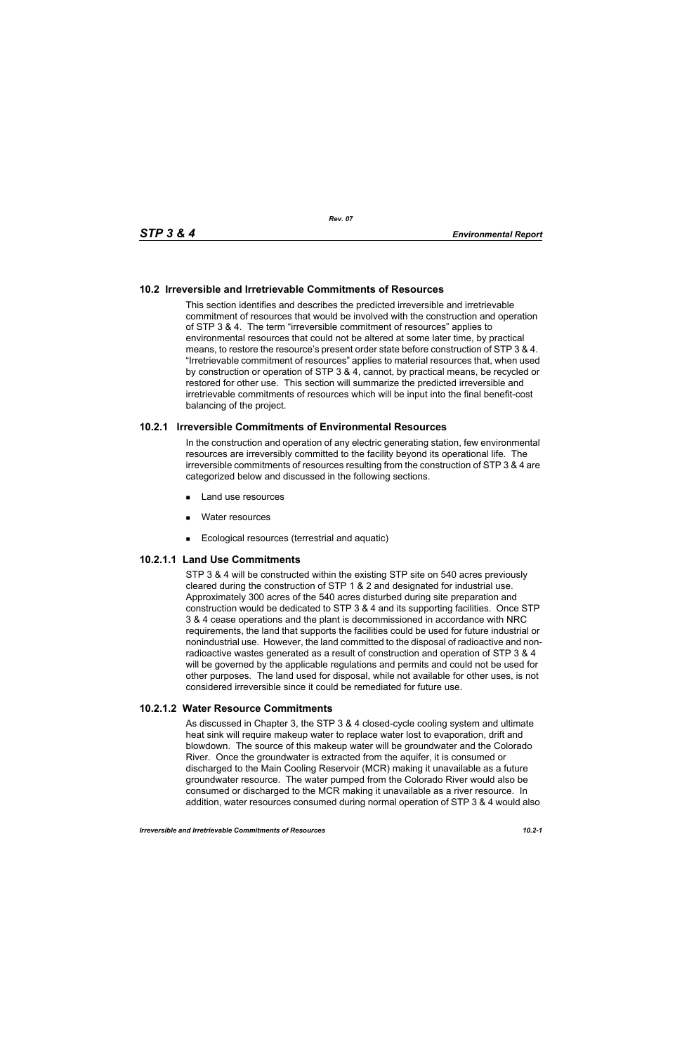## **10.2 Irreversible and Irretrievable Commitments of Resources**

This section identifies and describes the predicted irreversible and irretrievable commitment of resources that would be involved with the construction and operation of STP 3 & 4. The term "irreversible commitment of resources" applies to environmental resources that could not be altered at some later time, by practical means, to restore the resource's present order state before construction of STP 3 & 4. "Irretrievable commitment of resources" applies to material resources that, when used by construction or operation of STP 3 & 4, cannot, by practical means, be recycled or restored for other use. This section will summarize the predicted irreversible and irretrievable commitments of resources which will be input into the final benefit-cost balancing of the project.

### **10.2.1 Irreversible Commitments of Environmental Resources**

In the construction and operation of any electric generating station, few environmental resources are irreversibly committed to the facility beyond its operational life. The irreversible commitments of resources resulting from the construction of STP 3 & 4 are categorized below and discussed in the following sections.

- **Land use resources**
- **Nater resources**
- Ecological resources (terrestrial and aquatic)

## **10.2.1.1 Land Use Commitments**

STP 3 & 4 will be constructed within the existing STP site on 540 acres previously cleared during the construction of STP 1 & 2 and designated for industrial use. Approximately 300 acres of the 540 acres disturbed during site preparation and construction would be dedicated to STP 3 & 4 and its supporting facilities. Once STP 3 & 4 cease operations and the plant is decommissioned in accordance with NRC requirements, the land that supports the facilities could be used for future industrial or nonindustrial use. However, the land committed to the disposal of radioactive and nonradioactive wastes generated as a result of construction and operation of STP 3 & 4 will be governed by the applicable regulations and permits and could not be used for other purposes. The land used for disposal, while not available for other uses, is not considered irreversible since it could be remediated for future use.

#### **10.2.1.2 Water Resource Commitments**

As discussed in Chapter 3, the STP 3 & 4 closed-cycle cooling system and ultimate heat sink will require makeup water to replace water lost to evaporation, drift and blowdown. The source of this makeup water will be groundwater and the Colorado River. Once the groundwater is extracted from the aquifer, it is consumed or discharged to the Main Cooling Reservoir (MCR) making it unavailable as a future groundwater resource. The water pumped from the Colorado River would also be consumed or discharged to the MCR making it unavailable as a river resource. In addition, water resources consumed during normal operation of STP 3 & 4 would also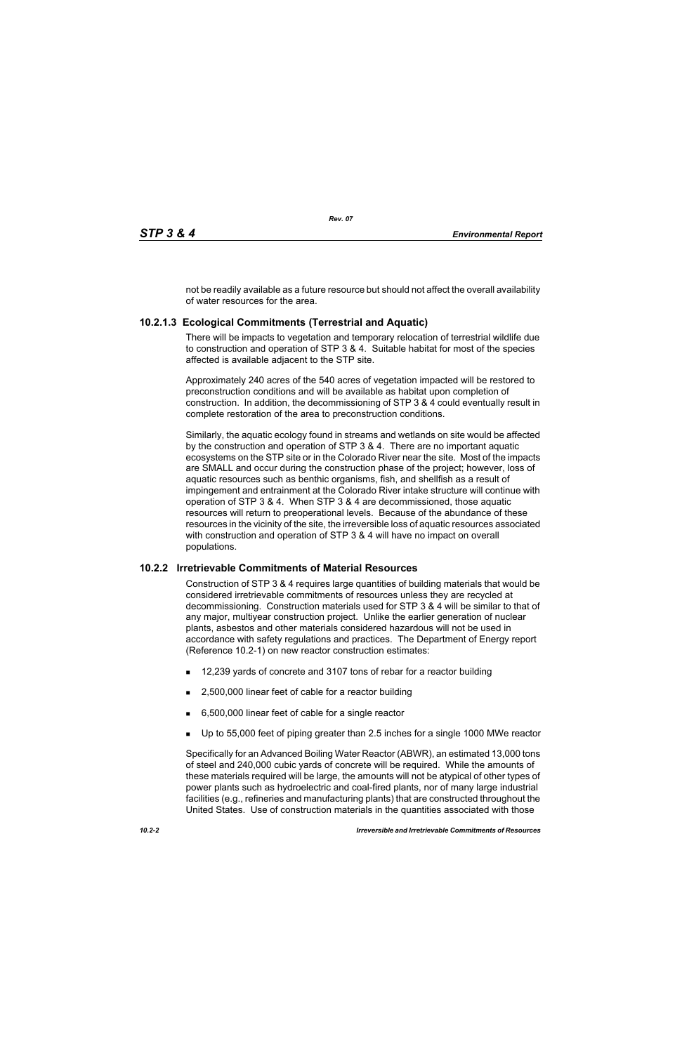not be readily available as a future resource but should not affect the overall availability of water resources for the area.

# **10.2.1.3 Ecological Commitments (Terrestrial and Aquatic)**

There will be impacts to vegetation and temporary relocation of terrestrial wildlife due to construction and operation of STP 3 & 4. Suitable habitat for most of the species affected is available adjacent to the STP site.

Approximately 240 acres of the 540 acres of vegetation impacted will be restored to preconstruction conditions and will be available as habitat upon completion of construction. In addition, the decommissioning of STP 3 & 4 could eventually result in complete restoration of the area to preconstruction conditions.

Similarly, the aquatic ecology found in streams and wetlands on site would be affected by the construction and operation of STP 3 & 4. There are no important aquatic ecosystems on the STP site or in the Colorado River near the site. Most of the impacts are SMALL and occur during the construction phase of the project; however, loss of aquatic resources such as benthic organisms, fish, and shellfish as a result of impingement and entrainment at the Colorado River intake structure will continue with operation of STP 3 & 4. When STP 3 & 4 are decommissioned, those aquatic resources will return to preoperational levels. Because of the abundance of these resources in the vicinity of the site, the irreversible loss of aquatic resources associated with construction and operation of STP 3 & 4 will have no impact on overall populations.

## **10.2.2 Irretrievable Commitments of Material Resources**

Construction of STP 3 & 4 requires large quantities of building materials that would be considered irretrievable commitments of resources unless they are recycled at decommissioning. Construction materials used for STP 3 & 4 will be similar to that of any major, multiyear construction project. Unlike the earlier generation of nuclear plants, asbestos and other materials considered hazardous will not be used in accordance with safety regulations and practices. The Department of Energy report (Reference 10.2-1) on new reactor construction estimates:

- 12,239 yards of concrete and 3107 tons of rebar for a reactor building
- 2,500,000 linear feet of cable for a reactor building
- 6,500,000 linear feet of cable for a single reactor
- Up to 55,000 feet of piping greater than 2.5 inches for a single 1000 MWe reactor

Specifically for an Advanced Boiling Water Reactor (ABWR), an estimated 13,000 tons of steel and 240,000 cubic yards of concrete will be required. While the amounts of these materials required will be large, the amounts will not be atypical of other types of power plants such as hydroelectric and coal-fired plants, nor of many large industrial facilities (e.g., refineries and manufacturing plants) that are constructed throughout the United States. Use of construction materials in the quantities associated with those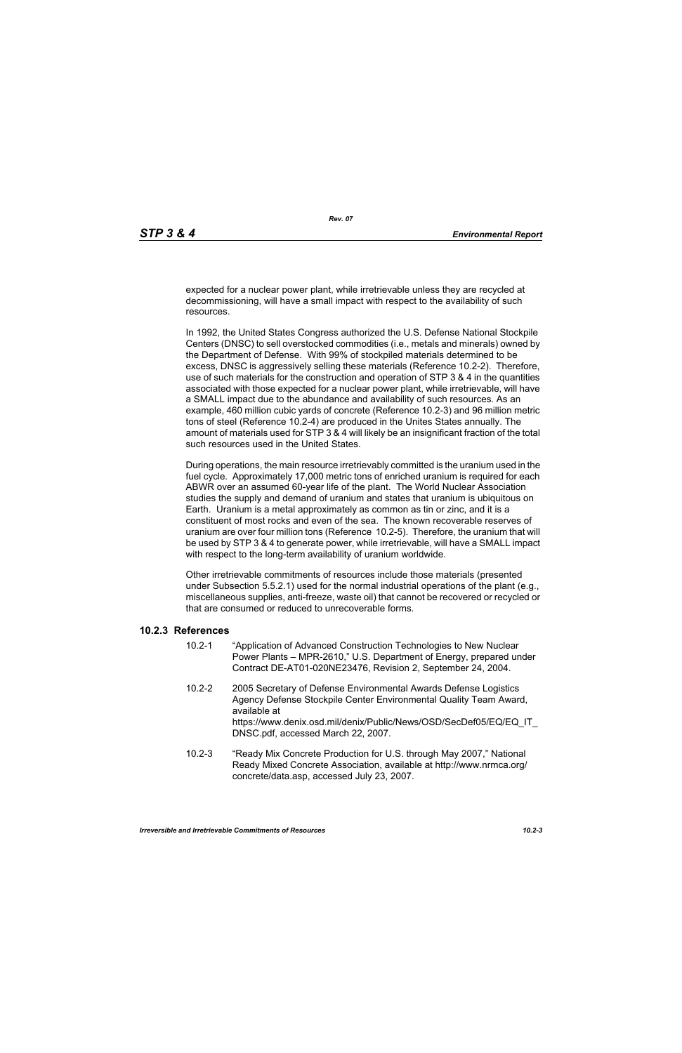expected for a nuclear power plant, while irretrievable unless they are recycled at decommissioning, will have a small impact with respect to the availability of such resources.

In 1992, the United States Congress authorized the U.S. Defense National Stockpile Centers (DNSC) to sell overstocked commodities (i.e., metals and minerals) owned by the Department of Defense. With 99% of stockpiled materials determined to be excess, DNSC is aggressively selling these materials (Reference 10.2-2). Therefore, use of such materials for the construction and operation of STP 3 & 4 in the quantities associated with those expected for a nuclear power plant, while irretrievable, will have a SMALL impact due to the abundance and availability of such resources. As an example, 460 million cubic yards of concrete (Reference 10.2-3) and 96 million metric tons of steel (Reference 10.2-4) are produced in the Unites States annually. The amount of materials used for STP 3 & 4 will likely be an insignificant fraction of the total such resources used in the United States.

During operations, the main resource irretrievably committed is the uranium used in the fuel cycle. Approximately 17,000 metric tons of enriched uranium is required for each ABWR over an assumed 60-year life of the plant. The World Nuclear Association studies the supply and demand of uranium and states that uranium is ubiquitous on Earth. Uranium is a metal approximately as common as tin or zinc, and it is a constituent of most rocks and even of the sea. The known recoverable reserves of uranium are over four million tons (Reference 10.2-5). Therefore, the uranium that will be used by STP 3 & 4 to generate power, while irretrievable, will have a SMALL impact with respect to the long-term availability of uranium worldwide.

Other irretrievable commitments of resources include those materials (presented under Subsection 5.5.2.1) used for the normal industrial operations of the plant (e.g., miscellaneous supplies, anti-freeze, waste oil) that cannot be recovered or recycled or that are consumed or reduced to unrecoverable forms.

#### **10.2.3 References**

- 10.2-1 "Application of Advanced Construction Technologies to New Nuclear Power Plants – MPR-2610," U.S. Department of Energy, prepared under Contract DE-AT01-020NE23476, Revision 2, September 24, 2004.
- 10.2-2 2005 Secretary of Defense Environmental Awards Defense Logistics Agency Defense Stockpile Center Environmental Quality Team Award, available at https://www.denix.osd.mil/denix/Public/News/OSD/SecDef05/EQ/EQ\_IT DNSC.pdf, accessed March 22, 2007.
- 10.2-3 "Ready Mix Concrete Production for U.S. through May 2007," National Ready Mixed Concrete Association, available at http://www.nrmca.org/ concrete/data.asp, accessed July 23, 2007.